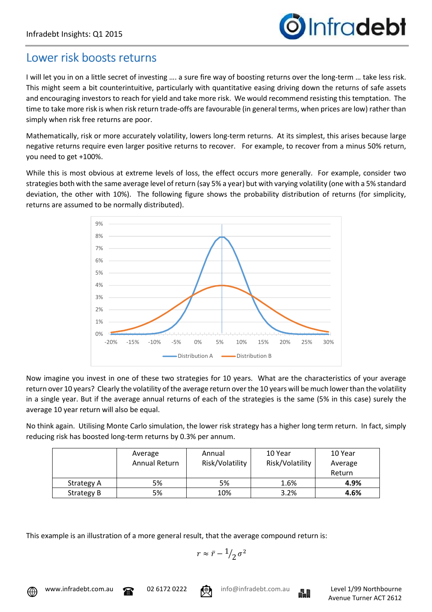## Lower risk boosts returns

I will let you in on a little secret of investing …. a sure fire way of boosting returns over the long-term … take less risk. This might seem a bit counterintuitive, particularly with quantitative easing driving down the returns of safe assets and encouraging investors to reach for yield and take more risk. We would recommend resisting this temptation. The time to take more risk is when risk return trade-offs are favourable (in general terms, when prices are low) rather than simply when risk free returns are poor.

Mathematically, risk or more accurately volatility, lowers long-term returns. At its simplest, this arises because large negative returns require even larger positive returns to recover. For example, to recover from a minus 50% return, you need to get +100%.

While this is most obvious at extreme levels of loss, the effect occurs more generally. For example, consider two strategies both with the same average level of return (say 5% a year) but with varying volatility (one with a 5% standard deviation, the other with 10%). The following figure shows the probability distribution of returns (for simplicity, returns are assumed to be normally distributed).



Now imagine you invest in one of these two strategies for 10 years. What are the characteristics of your average return over 10 years? Clearly the volatility of the average return over the 10 years will be much lower than the volatility in a single year. But if the average annual returns of each of the strategies is the same (5% in this case) surely the average 10 year return will also be equal.

No think again. Utilising Monte Carlo simulation, the lower risk strategy has a higher long term return. In fact, simply reducing risk has boosted long-term returns by 0.3% per annum.

|                   | Average<br>Annual Return | Annual<br>Risk/Volatility | 10 Year<br>Risk/Volatility | 10 Year<br>Average<br>Return |
|-------------------|--------------------------|---------------------------|----------------------------|------------------------------|
| Strategy A        | 5%                       | 5%                        | 1.6%                       | 4.9%                         |
| <b>Strategy B</b> | 5%                       | 10%                       | 3.2%                       | 4.6%                         |

This example is an illustration of a more general result, that the average compound return is:

$$
r\approx \bar{r}-\frac{1}{2}\sigma^2
$$